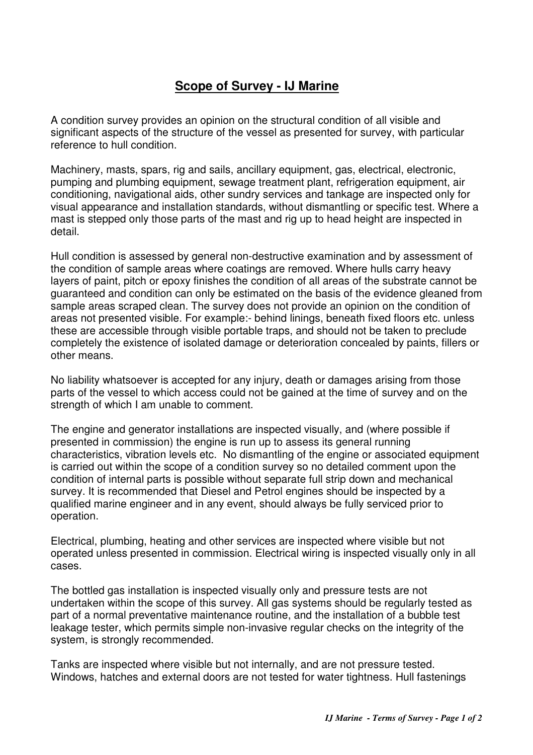## **Scope of Survey - IJ Marine**

A condition survey provides an opinion on the structural condition of all visible and significant aspects of the structure of the vessel as presented for survey, with particular reference to hull condition.

Machinery, masts, spars, rig and sails, ancillary equipment, gas, electrical, electronic, pumping and plumbing equipment, sewage treatment plant, refrigeration equipment, air conditioning, navigational aids, other sundry services and tankage are inspected only for visual appearance and installation standards, without dismantling or specific test. Where a mast is stepped only those parts of the mast and rig up to head height are inspected in detail.

Hull condition is assessed by general non-destructive examination and by assessment of the condition of sample areas where coatings are removed. Where hulls carry heavy layers of paint, pitch or epoxy finishes the condition of all areas of the substrate cannot be guaranteed and condition can only be estimated on the basis of the evidence gleaned from sample areas scraped clean. The survey does not provide an opinion on the condition of areas not presented visible. For example:- behind linings, beneath fixed floors etc. unless these are accessible through visible portable traps, and should not be taken to preclude completely the existence of isolated damage or deterioration concealed by paints, fillers or other means.

No liability whatsoever is accepted for any injury, death or damages arising from those parts of the vessel to which access could not be gained at the time of survey and on the strength of which I am unable to comment.

The engine and generator installations are inspected visually, and (where possible if presented in commission) the engine is run up to assess its general running characteristics, vibration levels etc. No dismantling of the engine or associated equipment is carried out within the scope of a condition survey so no detailed comment upon the condition of internal parts is possible without separate full strip down and mechanical survey. It is recommended that Diesel and Petrol engines should be inspected by a qualified marine engineer and in any event, should always be fully serviced prior to operation.

Electrical, plumbing, heating and other services are inspected where visible but not operated unless presented in commission. Electrical wiring is inspected visually only in all cases.

The bottled gas installation is inspected visually only and pressure tests are not undertaken within the scope of this survey. All gas systems should be regularly tested as part of a normal preventative maintenance routine, and the installation of a bubble test leakage tester, which permits simple non-invasive regular checks on the integrity of the system, is strongly recommended.

Tanks are inspected where visible but not internally, and are not pressure tested. Windows, hatches and external doors are not tested for water tightness. Hull fastenings